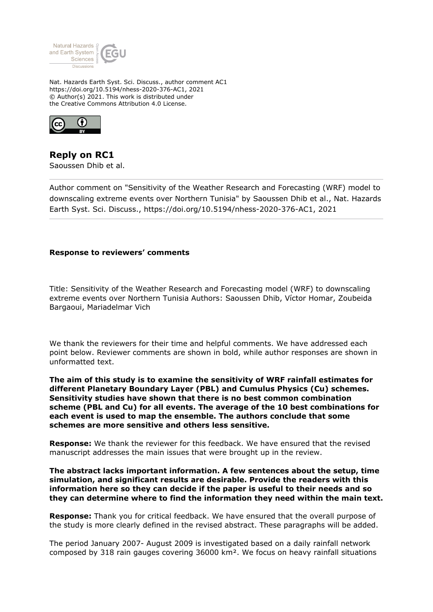

Nat. Hazards Earth Syst. Sci. Discuss., author comment AC1 https://doi.org/10.5194/nhess-2020-376-AC1, 2021 © Author(s) 2021. This work is distributed under the Creative Commons Attribution 4.0 License.



**Reply on RC1** Saoussen Dhib et al.

Author comment on "Sensitivity of the Weather Research and Forecasting (WRF) model to downscaling extreme events over Northern Tunisia" by Saoussen Dhib et al., Nat. Hazards Earth Syst. Sci. Discuss., https://doi.org/10.5194/nhess-2020-376-AC1, 2021

### **Response to reviewers' comments**

Title: Sensitivity of the Weather Research and Forecasting model (WRF) to downscaling extreme events over Northern Tunisia Authors: Saoussen Dhib, Víctor Homar, Zoubeida Bargaoui, Mariadelmar Vich

We thank the reviewers for their time and helpful comments. We have addressed each point below. Reviewer comments are shown in bold, while author responses are shown in unformatted text.

**The aim of this study is to examine the sensitivity of WRF rainfall estimates for different Planetary Boundary Layer (PBL) and Cumulus Physics (Cu) schemes. Sensitivity studies have shown that there is no best common combination scheme (PBL and Cu) for all events. The average of the 10 best combinations for each event is used to map the ensemble. The authors conclude that some schemes are more sensitive and others less sensitive.**

**Response:** We thank the reviewer for this feedback. We have ensured that the revised manuscript addresses the main issues that were brought up in the review.

**The abstract lacks important information. A few sentences about the setup, time simulation, and significant results are desirable. Provide the readers with this information here so they can decide if the paper is useful to their needs and so they can determine where to find the information they need within the main text.**

**Response:** Thank you for critical feedback. We have ensured that the overall purpose of the study is more clearly defined in the revised abstract. These paragraphs will be added.

The period January 2007- August 2009 is investigated based on a daily rainfall network composed by 318 rain gauges covering 36000 km². We focus on heavy rainfall situations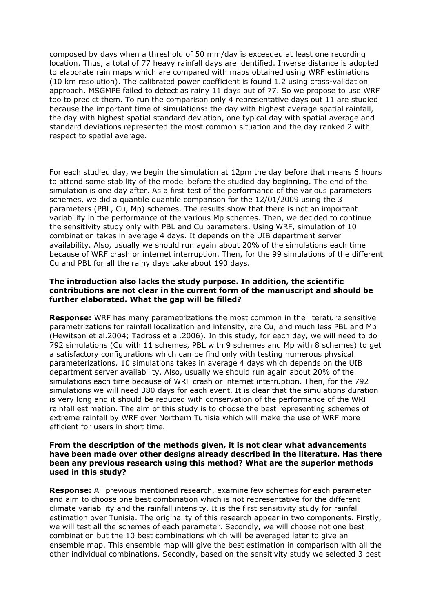composed by days when a threshold of 50 mm/day is exceeded at least one recording location. Thus, a total of 77 heavy rainfall days are identified. Inverse distance is adopted to elaborate rain maps which are compared with maps obtained using WRF estimations (10 km resolution). The calibrated power coefficient is found 1.2 using cross-validation approach. MSGMPE failed to detect as rainy 11 days out of 77. So we propose to use WRF too to predict them. To run the comparison only 4 representative days out 11 are studied because the important time of simulations: the day with highest average spatial rainfall, the day with highest spatial standard deviation, one typical day with spatial average and standard deviations represented the most common situation and the day ranked 2 with respect to spatial average.

For each studied day, we begin the simulation at 12pm the day before that means 6 hours to attend some stability of the model before the studied day beginning. The end of the simulation is one day after. As a first test of the performance of the various parameters schemes, we did a quantile quantile comparison for the 12/01/2009 using the 3 parameters (PBL, Cu, Mp) schemes. The results show that there is not an important variability in the performance of the various Mp schemes. Then, we decided to continue the sensitivity study only with PBL and Cu parameters. Using WRF, simulation of 10 combination takes in average 4 days. It depends on the UIB department server availability. Also, usually we should run again about 20% of the simulations each time because of WRF crash or internet interruption. Then, for the 99 simulations of the different Cu and PBL for all the rainy days take about 190 days.

## **The introduction also lacks the study purpose. In addition, the scientific contributions are not clear in the current form of the manuscript and should be further elaborated. What the gap will be filled?**

**Response:** WRF has many parametrizations the most common in the literature sensitive parametrizations for rainfall localization and intensity, are Cu, and much less PBL and Mp (Hewitson et al.2004; Tadross et al.2006). In this study, for each day, we will need to do 792 simulations (Cu with 11 schemes, PBL with 9 schemes and Mp with 8 schemes) to get a satisfactory configurations which can be find only with testing numerous physical parameterizations. 10 simulations takes in average 4 days which depends on the UIB department server availability. Also, usually we should run again about 20% of the simulations each time because of WRF crash or internet interruption. Then, for the 792 simulations we will need 380 days for each event. It is clear that the simulations duration is very long and it should be reduced with conservation of the performance of the WRF rainfall estimation. The aim of this study is to choose the best representing schemes of extreme rainfall by WRF over Northern Tunisia which will make the use of WRF more efficient for users in short time.

### **From the description of the methods given, it is not clear what advancements have been made over other designs already described in the literature. Has there been any previous research using this method? What are the superior methods used in this study?**

**Response:** All previous mentioned research, examine few schemes for each parameter and aim to choose one best combination which is not representative for the different climate variability and the rainfall intensity. It is the first sensitivity study for rainfall estimation over Tunisia. The originality of this research appear in two components. Firstly, we will test all the schemes of each parameter. Secondly, we will choose not one best combination but the 10 best combinations which will be averaged later to give an ensemble map. This ensemble map will give the best estimation in comparison with all the other individual combinations. Secondly, based on the sensitivity study we selected 3 best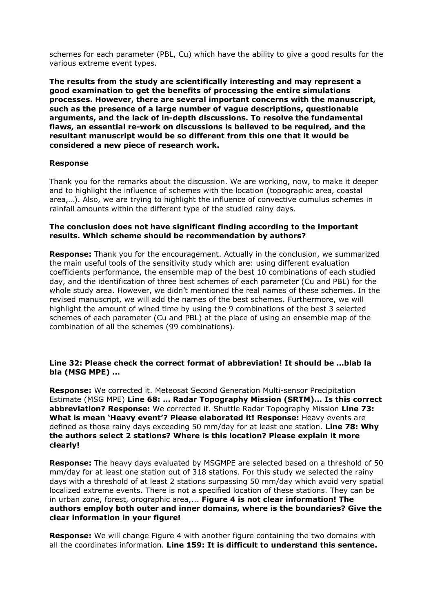schemes for each parameter (PBL, Cu) which have the ability to give a good results for the various extreme event types.

**The results from the study are scientifically interesting and may represent a good examination to get the benefits of processing the entire simulations processes. However, there are several important concerns with the manuscript, such as the presence of a large number of vague descriptions, questionable arguments, and the lack of in-depth discussions. To resolve the fundamental flaws, an essential re-work on discussions is believed to be required, and the resultant manuscript would be so different from this one that it would be considered a new piece of research work.**

### **Response**

Thank you for the remarks about the discussion. We are working, now, to make it deeper and to highlight the influence of schemes with the location (topographic area, coastal area,…). Also, we are trying to highlight the influence of convective cumulus schemes in rainfall amounts within the different type of the studied rainy days.

## **The conclusion does not have significant finding according to the important results. Which scheme should be recommendation by authors?**

**Response:** Thank you for the encouragement. Actually in the conclusion, we summarized the main useful tools of the sensitivity study which are: using different evaluation coefficients performance, the ensemble map of the best 10 combinations of each studied day, and the identification of three best schemes of each parameter (Cu and PBL) for the whole study area. However, we didn't mentioned the real names of these schemes. In the revised manuscript, we will add the names of the best schemes. Furthermore, we will highlight the amount of wined time by using the 9 combinations of the best 3 selected schemes of each parameter (Cu and PBL) at the place of using an ensemble map of the combination of all the schemes (99 combinations).

# **Line 32: Please check the correct format of abbreviation! It should be …blab la bla (MSG MPE) …**

**Response:** We corrected it. Meteosat Second Generation Multi-sensor Precipitation Estimate (MSG MPE) **Line 68: … Radar Topography Mission (SRTM)… Is this correct abbreviation? Response:** We corrected it. Shuttle Radar Topography Mission **Line 73: What is mean 'Heavy event'? Please elaborated it! Response:** Heavy events are defined as those rainy days exceeding 50 mm/day for at least one station. **Line 78: Why the authors select 2 stations? Where is this location? Please explain it more clearly!** 

**Response:** The heavy days evaluated by MSGMPE are selected based on a threshold of 50 mm/day for at least one station out of 318 stations. For this study we selected the rainy days with a threshold of at least 2 stations surpassing 50 mm/day which avoid very spatial localized extreme events. There is not a specified location of these stations. They can be in urban zone, forest, orographic area,... **Figure 4 is not clear information! The authors employ both outer and inner domains, where is the boundaries? Give the clear information in your figure!**

**Response:** We will change Figure 4 with another figure containing the two domains with all the coordinates information. **Line 159: It is difficult to understand this sentence.**